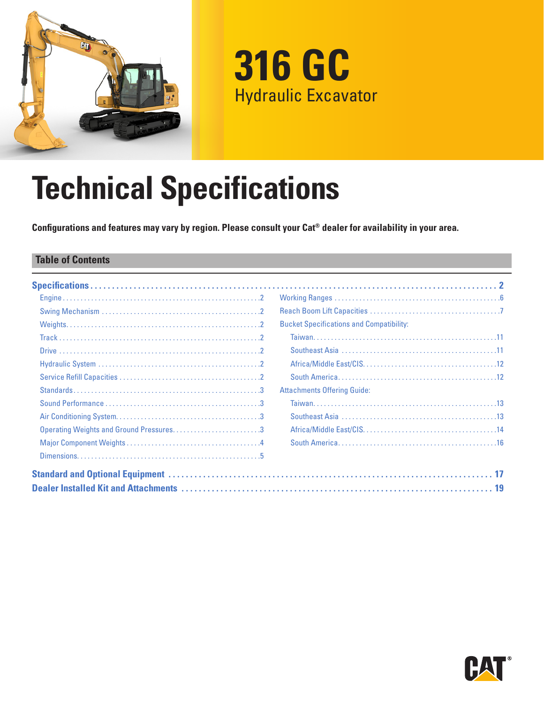

# **316 GC** Hydraulic Excavator

# **Technical Specifications**

**Configurations and features may vary by region. Please consult your Cat® dealer for availability in your area.**

### **Table of Contents**

|                                         | <b>Bucket Specifications and Compatibility:</b> |
|-----------------------------------------|-------------------------------------------------|
|                                         |                                                 |
|                                         |                                                 |
|                                         |                                                 |
|                                         |                                                 |
|                                         | <b>Attachments Offering Guide:</b>              |
|                                         |                                                 |
|                                         |                                                 |
| Operating Weights and Ground Pressures3 |                                                 |
|                                         |                                                 |
|                                         |                                                 |
|                                         |                                                 |
|                                         |                                                 |

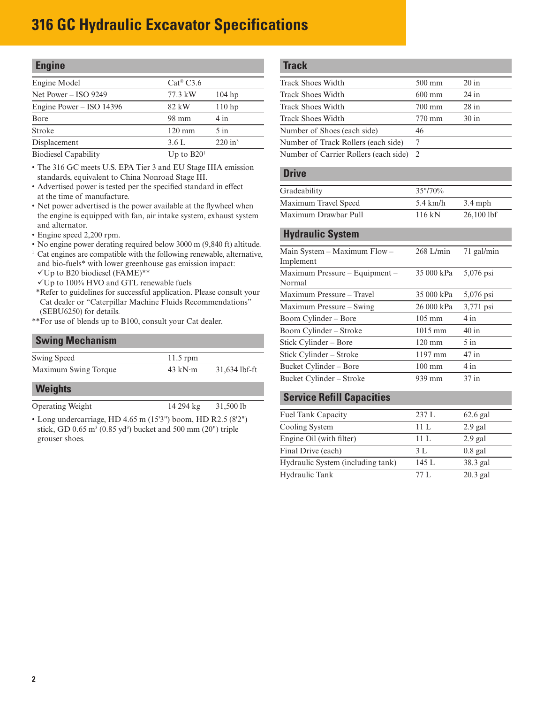<span id="page-1-0"></span>

| <b>Engine</b>                                  |                                |                       |
|------------------------------------------------|--------------------------------|-----------------------|
| Engine Model                                   | $Cat^{\circledR} C3.6$         |                       |
| Net Power $-$ ISO 9249                         | 77.3 kW                        | $104$ hp              |
| Engine Power $-$ ISO 14396                     | 82 kW                          | 110 <sub>hp</sub>     |
| Bore                                           | 98 mm                          | 4 in                  |
| Stroke                                         | $120 \text{ mm}$               | $5$ in                |
| Displacement                                   | 3.6L                           | $220$ in <sup>3</sup> |
| $\mathbf{D}$ and $\mathbf{C}$ and $\mathbf{D}$ | $H_{\text{max}}$ to $D \Omega$ |                       |

Biodiesel Capability Up to B20

• The 316 GC meets U.S. EPA Tier 3 and EU Stage IIIA emission standards, equivalent to China Nonroad Stage III.

- Advertised power is tested per the specified standard in effect at the time of manufacture.
- Net power advertised is the power available at the flywheel when the engine is equipped with fan, air intake system, exhaust system and alternator.
- Engine speed 2,200 rpm.
- No engine power derating required below 3000 m (9,840 ft) altitude.
- <sup>1</sup> Cat engines are compatible with the following renewable, alternative, and bio-fuels\* with lower greenhouse gas emission impact:
- $\nabla$ Up to B20 biodiesel (FAME)\*\*
- Up to 100% HVO and GTL renewable fuels
- \*\*Refer to guidelines for successful application. Please consult your Cat dealer or "Caterpillar Machine Fluids Recommendations" (SEBU6250) for details.
- \*\*For use of blends up to B100, consult your Cat dealer.

### **Swing Mechanism**

| Swing Speed          | $11.5$ rpm        |               |
|----------------------|-------------------|---------------|
| Maximum Swing Torque | $43$ kN $\cdot$ m | 31,634 lbf-ft |

#### **Weights**

Operating Weight 14 294 kg 31,500 lb

• Long undercarriage, HD 4.65 m (15'3") boom, HD R2.5 (8'2") stick, GD  $0.65 \text{ m}^3 (0.85 \text{ yd}^3)$  bucket and 500 mm (20") triple grouser shoes.

### **Track**

| $500 \text{ mm}$<br>$600 \text{ mm}$    | $20 \text{ in}$<br>$24$ in |
|-----------------------------------------|----------------------------|
|                                         |                            |
|                                         |                            |
|                                         |                            |
|                                         | $28$ in                    |
| 770 mm                                  | 30 in                      |
| 46                                      |                            |
| 7                                       |                            |
| Number of Carrier Rollers (each side) 2 |                            |
|                                         | $700 \text{ mm}$           |

#### **Drive**

| $35^{\circ}/70\%$  |              |
|--------------------|--------------|
| $5.4 \text{ km/h}$ | $3.4$ mph    |
| 116 kN             | $26,100$ lbf |
|                    |              |

#### **Hydraulic System**

| Main System $-$ Maximum Flow $-$<br>Implement | $268$ L/min       | 71 gal/min |  |
|-----------------------------------------------|-------------------|------------|--|
| Maximum Pressure - Equipment -<br>Normal      | 35 000 kPa        | 5,076 psi  |  |
| Maximum Pressure - Travel                     | 35 000 kPa        | 5,076 psi  |  |
| Maximum Pressure – Swing                      | 26 000 kPa        | 3,771 psi  |  |
| Boom Cylinder – Bore                          | $105 \text{ mm}$  | $4$ in     |  |
| Boom Cylinder – Stroke                        | $1015 \text{ mm}$ | $40$ in    |  |
| Stick Cylinder – Bore                         | $120 \text{ mm}$  | $5$ in     |  |
| Stick Cylinder – Stroke                       | 1197 mm           | $47$ in    |  |
| Bucket Cylinder – Bore                        | $100 \text{ mm}$  | $4$ in     |  |
| Bucket Cylinder – Stroke                      | 939 mm            | $37$ in    |  |

### **Service Refill Capacities**

| <b>Fuel Tank Capacity</b>         | 237L  | $62.6$ gal |
|-----------------------------------|-------|------------|
| Cooling System                    | 11L   | $2.9$ gal  |
| Engine Oil (with filter)          | 11L   | $2.9$ gal  |
| Final Drive (each)                | 3 L   | $0.8$ gal  |
| Hydraulic System (including tank) | 145 L | 38.3 gal   |
| Hydraulic Tank                    | 77 L  | $20.3$ gal |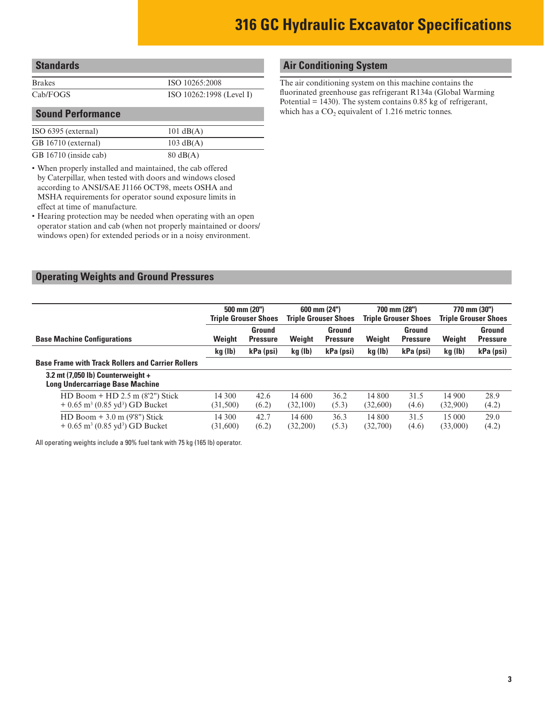<span id="page-2-0"></span>

| stanuarus |  |
|-----------|--|
|           |  |
| Rrakes    |  |

ISO 10265:2008 Cab/FOGS ISO 10262:1998 (Level I)

### **Sound Performance**

| ISO 6395 (external)   | $101 \text{ dB}(A)$ |
|-----------------------|---------------------|
| GB 16710 (external)   | $103 \text{ dB}(A)$ |
| GB 16710 (inside cab) | $80 \text{ dB}(A)$  |

• When properly installed and maintained, the cab offered by Caterpillar, when tested with doors and windows closed according to ANSI/SAE J1166 OCT98, meets OSHA and MSHA requirements for operator sound exposure limits in effect at time of manufacture.

• Hearing protection may be needed when operating with an open operator station and cab (when not properly maintained or doors/ windows open) for extended periods or in a noisy environment.

# **Air Conditioning System**

The air conditioning system on this machine contains the fluorinated greenhouse gas refrigerant R134a (Global Warming Potential = 1430). The system contains 0.85 kg of refrigerant, which has a  $CO<sub>2</sub>$  equivalent of 1.216 metric tonnes.

### **Operating Weights and Ground Pressures**

|                                                                                                  |                    | 500 mm (20")<br><b>Triple Grouser Shoes</b> |                    | 600 mm (24")<br><b>Triple Grouser Shoes</b> |                    | 700 mm (28")<br><b>Triple Grouser Shoes</b> |                    | 770 mm (30")<br><b>Triple Grouser Shoes</b> |
|--------------------------------------------------------------------------------------------------|--------------------|---------------------------------------------|--------------------|---------------------------------------------|--------------------|---------------------------------------------|--------------------|---------------------------------------------|
| <b>Base Machine Configurations</b>                                                               | Weight             | Ground<br><b>Pressure</b>                   | Weight             | Ground<br><b>Pressure</b>                   | Weight             | Ground<br><b>Pressure</b>                   | Weight             | Ground<br><b>Pressure</b>                   |
|                                                                                                  | kg (lb)            | kPa (psi)                                   | kg (lb)            | kPa (psi)                                   | kg (lb)            | kPa (psi)                                   | kg (lb)            | kPa (psi)                                   |
| <b>Base Frame with Track Rollers and Carrier Rollers</b>                                         |                    |                                             |                    |                                             |                    |                                             |                    |                                             |
| 3.2 mt $(7,050 \text{ lb})$ Counterweight +<br><b>Long Undercarriage Base Machine</b>            |                    |                                             |                    |                                             |                    |                                             |                    |                                             |
| HD Boom + HD $2.5$ m $(8'2'')$ Stick<br>$+0.65$ m <sup>3</sup> (0.85 yd <sup>3</sup> ) GD Bucket | 14 300<br>(31,500) | 42.6<br>(6.2)                               | 14 600<br>(32,100) | 36.2<br>(5.3)                               | 14 800<br>(32,600) | 31.5<br>(4.6)                               | 14 900<br>(32,900) | 28.9<br>(4.2)                               |
| HD Boom $+3.0$ m (9'8") Stick<br>$+0.65$ m <sup>3</sup> (0.85 yd <sup>3</sup> ) GD Bucket        | 14 300<br>(31,600) | 42.7<br>(6.2)                               | 14 600<br>(32,200) | 36.3<br>(5.3)                               | 14 800<br>(32,700) | 31.5<br>(4.6)                               | 15 000<br>(33,000) | 29.0<br>(4.2)                               |

All operating weights include a 90% fuel tank with 75 kg (165 lb) operator.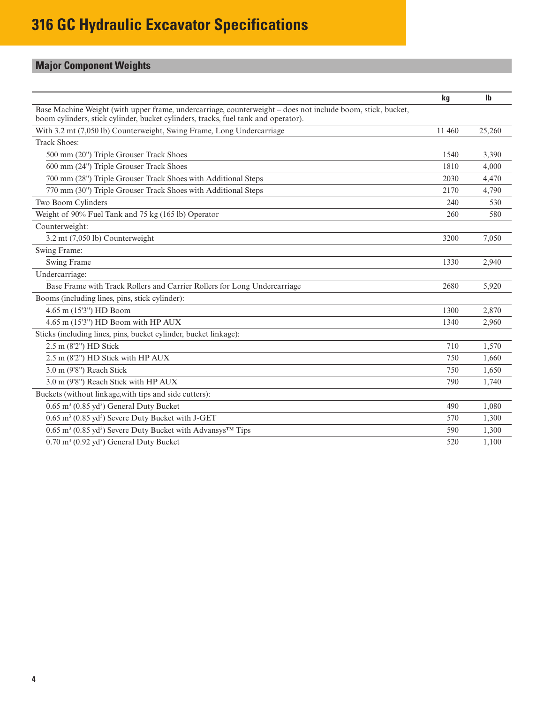# <span id="page-3-0"></span>**Major Component Weights**

|                                                                                                                                                                                                   | kg     | $\mathbf{I}$ |
|---------------------------------------------------------------------------------------------------------------------------------------------------------------------------------------------------|--------|--------------|
| Base Machine Weight (with upper frame, undercarriage, counterweight – does not include boom, stick, bucket,<br>boom cylinders, stick cylinder, bucket cylinders, tracks, fuel tank and operator). |        |              |
| With 3.2 mt (7,050 lb) Counterweight, Swing Frame, Long Undercarriage                                                                                                                             | 11 460 | 25,260       |
| <b>Track Shoes:</b>                                                                                                                                                                               |        |              |
| 500 mm (20") Triple Grouser Track Shoes                                                                                                                                                           | 1540   | 3.390        |
| 600 mm (24") Triple Grouser Track Shoes                                                                                                                                                           | 1810   | 4,000        |
| 700 mm (28") Triple Grouser Track Shoes with Additional Steps                                                                                                                                     | 2030   | 4,470        |
| 770 mm (30") Triple Grouser Track Shoes with Additional Steps                                                                                                                                     | 2170   | 4,790        |
| Two Boom Cylinders                                                                                                                                                                                | 240    | 530          |
| Weight of 90% Fuel Tank and 75 kg (165 lb) Operator                                                                                                                                               | 260    | 580          |
| Counterweight:                                                                                                                                                                                    |        |              |
| 3.2 mt (7,050 lb) Counterweight                                                                                                                                                                   | 3200   | 7.050        |
| Swing Frame:                                                                                                                                                                                      |        |              |
| Swing Frame                                                                                                                                                                                       | 1330   | 2,940        |
| Undercarriage:                                                                                                                                                                                    |        |              |
| Base Frame with Track Rollers and Carrier Rollers for Long Undercarriage                                                                                                                          | 2680   | 5,920        |
| Booms (including lines, pins, stick cylinder):                                                                                                                                                    |        |              |
| 4.65 m (15'3") HD Boom                                                                                                                                                                            | 1300   | 2,870        |
| 4.65 m (15'3") HD Boom with HP AUX                                                                                                                                                                | 1340   | 2,960        |
| Sticks (including lines, pins, bucket cylinder, bucket linkage):                                                                                                                                  |        |              |
| 2.5 m (8'2") HD Stick                                                                                                                                                                             | 710    | 1,570        |
| 2.5 m (8'2") HD Stick with HP AUX                                                                                                                                                                 | 750    | 1,660        |
| 3.0 m (9'8") Reach Stick                                                                                                                                                                          | 750    | 1,650        |
| 3.0 m (9'8") Reach Stick with HP AUX                                                                                                                                                              | 790    | 1,740        |
| Buckets (without linkage, with tips and side cutters):                                                                                                                                            |        |              |
| $0.65$ m <sup>3</sup> (0.85 yd <sup>3</sup> ) General Duty Bucket                                                                                                                                 | 490    | 1,080        |
| 0.65 m <sup>3</sup> (0.85 yd <sup>3</sup> ) Severe Duty Bucket with J-GET                                                                                                                         | 570    | 1.300        |
| 0.65 m <sup>3</sup> (0.85 yd <sup>3</sup> ) Severe Duty Bucket with Advansys <sup>TM</sup> Tips                                                                                                   | 590    | 1,300        |
| 0.70 m <sup>3</sup> (0.92 yd <sup>3</sup> ) General Duty Bucket                                                                                                                                   | 520    | 1.100        |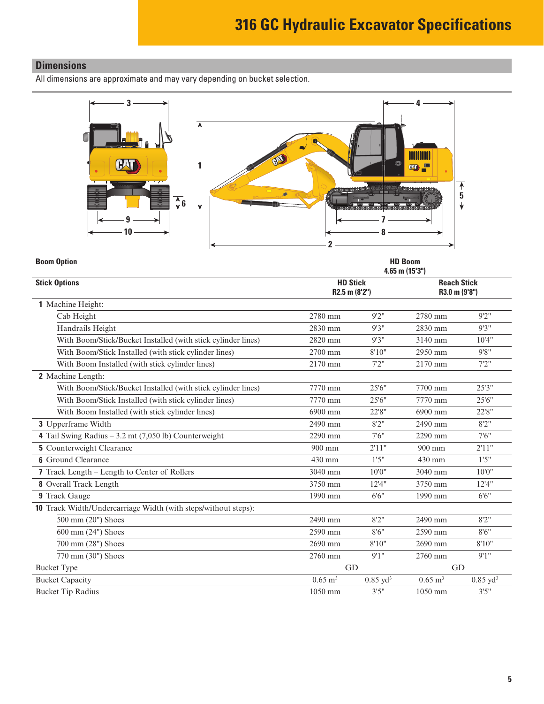# <span id="page-4-0"></span>**Dimensions**

All dimensions are approximate and may vary depending on bucket selection.



| <b>Boom Option</b>                                             | <b>HD Boom</b><br>$4.65$ m $(15'3'')$ |                     |                                     |                     |
|----------------------------------------------------------------|---------------------------------------|---------------------|-------------------------------------|---------------------|
| <b>Stick Options</b>                                           | <b>HD Stick</b><br>R2.5 m (8'2")      |                     | <b>Reach Stick</b><br>R3.0 m (9'8") |                     |
| 1 Machine Height:                                              |                                       |                     |                                     |                     |
| Cab Height                                                     | 2780 mm                               | 9'2''               | 2780 mm                             | 9'2''               |
| Handrails Height                                               | 2830 mm                               | 9'3''               | 2830 mm                             | 9'3''               |
| With Boom/Stick/Bucket Installed (with stick cylinder lines)   | 2820 mm                               | 9'3''               | 3140 mm                             | 10'4"               |
| With Boom/Stick Installed (with stick cylinder lines)          | 2700 mm                               | 8'10"               | 2950 mm                             | 9'8"                |
| With Boom Installed (with stick cylinder lines)                | 2170 mm                               | 7'2''               | 2170 mm                             | 7'2''               |
| 2 Machine Length:                                              |                                       |                     |                                     |                     |
| With Boom/Stick/Bucket Installed (with stick cylinder lines)   | 7770 mm                               | 25'6''              | 7700 mm                             | 25'3"               |
| With Boom/Stick Installed (with stick cylinder lines)          | 7770 mm                               | 25'6"               | 7770 mm                             | 25'6"               |
| With Boom Installed (with stick cylinder lines)                | 6900 mm                               | 22'8"               | 6900 mm                             | 22'8"               |
| 3 Upperframe Width                                             | 2490 mm                               | 8'2''               | 2490 mm                             | 8'2''               |
| 4 Tail Swing Radius $-3.2$ mt (7,050 lb) Counterweight         | 2290 mm                               | 7'6''               | 2290 mm                             | 7'6''               |
| <b>5</b> Counterweight Clearance                               | 900 mm                                | 2'11"               | 900 mm                              | 2'11"               |
| <b>6</b> Ground Clearance                                      | 430 mm                                | 1'5''               | 430 mm                              | 1'5''               |
| 7 Track Length - Length to Center of Rollers                   | 3040 mm                               | 10'0''              | 3040 mm                             | 10'0''              |
| <b>8</b> Overall Track Length                                  | 3750 mm                               | 12'4''              | 3750 mm                             | 12'4''              |
| 9 Track Gauge                                                  | 1990 mm                               | 6'6''               | 1990 mm                             | 6'6''               |
| 10 Track Width/Undercarriage Width (with steps/without steps): |                                       |                     |                                     |                     |
| 500 mm (20") Shoes                                             | 2490 mm                               | 8'2''               | 2490 mm                             | 8'2''               |
| 600 mm (24") Shoes                                             | 2590 mm                               | 8'6''               | 2590 mm                             | 8'6''               |
| 700 mm (28") Shoes                                             | 2690 mm                               | 8'10"               | 2690 mm                             | 8'10"               |
| 770 mm (30") Shoes                                             | 2760 mm                               | 9'1''               | 2760 mm                             | 9'1''               |
| <b>Bucket Type</b>                                             | GD                                    |                     | GD                                  |                     |
| <b>Bucket Capacity</b>                                         | $0.65 \text{ m}^3$                    | $0.85 \text{ yd}^3$ | $0.65 \text{ m}^3$                  | $0.85 \text{ yd}^3$ |
| <b>Bucket Tip Radius</b>                                       | $1050$ mm                             | 3'5''               | $1050$ mm                           | 3'5''               |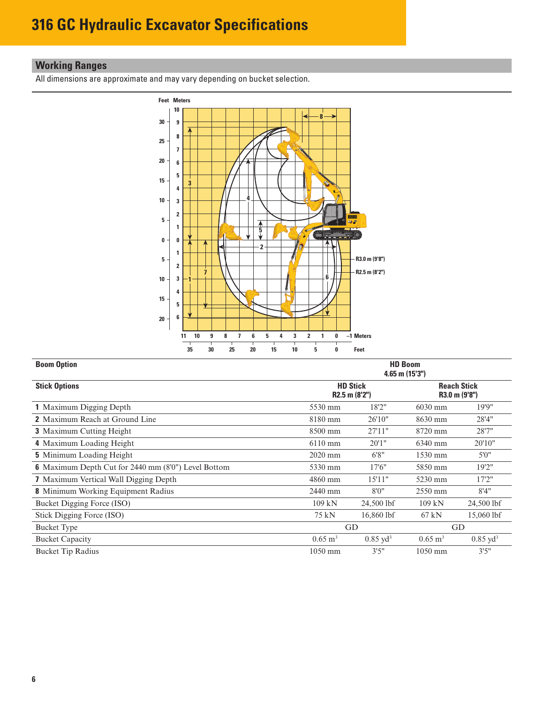# <span id="page-5-0"></span>**Working Ranges**

All dimensions are approximate and may vary depending on bucket selection.



| <b>Boom Option</b>                                         |                        |                                  | <b>HD Boom</b><br>$4.65$ m $(15'3'')$ |                                     |
|------------------------------------------------------------|------------------------|----------------------------------|---------------------------------------|-------------------------------------|
| <b>Stick Options</b>                                       |                        | <b>HD Stick</b><br>R2.5 m (8'2") |                                       | <b>Reach Stick</b><br>R3.0 m (9'8") |
| 1 Maximum Digging Depth                                    | 5530 mm                | 18'2"                            | $6030$ mm                             | 19'9"                               |
| <b>2</b> Maximum Reach at Ground Line                      | 8180 mm                | 26'10"                           | 8630 mm                               | 28'4"                               |
| <b>3</b> Maximum Cutting Height                            | 8500 mm                | 27'11"                           | 8720 mm                               | 28'7"                               |
| 4 Maximum Loading Height                                   | 6110 mm                | 20'1''                           | 6340 mm                               | 20'10"                              |
| <b>5</b> Minimum Loading Height                            | $2020$ mm              | 6'8"                             | $1530$ mm                             | 5'0''                               |
| <b>6</b> Maximum Depth Cut for 2440 mm (8'0") Level Bottom | 5330 mm                | 17'6"                            | 5850 mm                               | 19'2"                               |
| 7 Maximum Vertical Wall Digging Depth                      | 4860 mm                | 15'11"                           | 5230 mm                               | 17'2"                               |
| <b>8</b> Minimum Working Equipment Radius                  | 2440 mm                | 8'0''                            | 2550 mm                               | 8'4''                               |
| Bucket Digging Force (ISO)                                 | $109$ kN               | 24,500 lbf                       | $109$ kN                              | 24,500 lbf                          |
| Stick Digging Force (ISO)                                  | 75 kN                  | 16,860 lbf                       | $67$ kN                               | 15,060 lbf                          |
| <b>Bucket Type</b>                                         |                        | GD                               |                                       | GD                                  |
| <b>Bucket Capacity</b>                                     | $0.65 \; \mathrm{m}^3$ | $0.85 \text{ vd}^3$              | $0.65 \text{ m}^3$                    | $0.85 \text{ vd}^3$                 |
| <b>Bucket Tip Radius</b>                                   | 1050 mm                | 3'5''                            | $1050$ mm                             | 3'5''                               |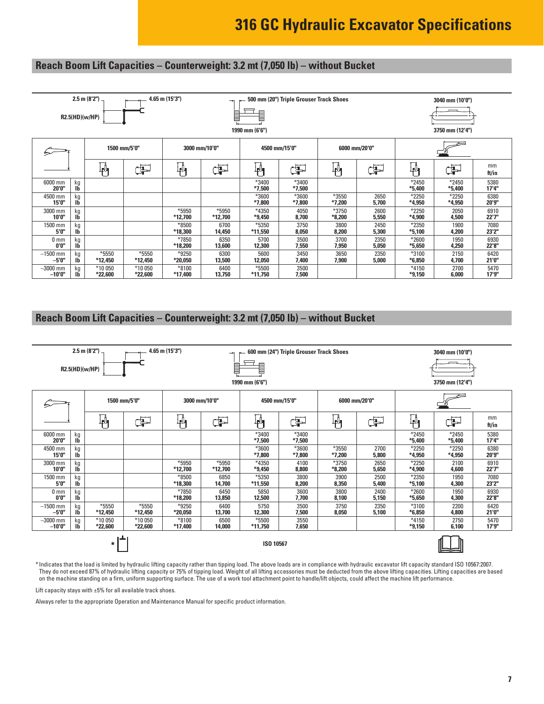## <span id="page-6-0"></span>**Reach Boom Lift Capacities – Counterweight: 3.2 mt (7,050 lb) – without Bucket**

|                         |                     | $2.5$ m $(8'2'')$<br>R2.5(HD)(w/HP) |                    | 4.65 m (15'3")   | $\rightarrow$<br>l | 1990 mm (6'6")    | 500 mm (20") Triple Grouser Track Shoes |                   |               |                     | 3040 mm (10'0")<br>3750 mm (12'4") |               |
|-------------------------|---------------------|-------------------------------------|--------------------|------------------|--------------------|-------------------|-----------------------------------------|-------------------|---------------|---------------------|------------------------------------|---------------|
|                         | 1500 mm/5'0"        |                                     |                    |                  | 3000 mm/10'0"      |                   | 4500 mm/15'0"                           | 6000 mm/20'0"     |               |                     |                                    |               |
|                         | $\mathbb{F}_1$<br>Þ |                                     | 判                  | Ë                | 判                  | Þ                 | $\overline{\Psi}$                       | Þ                 | 軥             | Þ                   | mm<br>ft/in                        |               |
| 6000 mm<br>20'0"        | kg<br>Ib            |                                     |                    |                  |                    | *3400<br>$*7,500$ | *3400<br>$*7,500$                       |                   |               | *2450<br>$*5,400$   | $*2450$<br>$*5,400$                | 5380<br>17'4" |
| 4500 mm<br>15'0"        | kg<br>-lb           |                                     |                    |                  |                    | *3600<br>$*7,800$ | *3600<br>$*7,800$                       | *3550<br>$*7,200$ | 2650<br>5,700 | $*2250$<br>$*4,950$ | $*2250$<br>*4,950                  | 6380<br>20'9" |
| 3000 mm<br>10'0"        | kg<br>Ib            |                                     |                    | *5950<br>*12,700 | *5950<br>*12,700   | *4350<br>$*9,450$ | 4050<br>8,700                           | *3750<br>$*8,200$ | 2600<br>5,550 | $*2250$<br>$*4,900$ | 2050<br>4,500                      | 6910<br>22'7" |
| 1500 mm<br>5'0"         | kg<br>Ib            |                                     |                    | *8500<br>*18,300 | 6700<br>14,450     | *5350<br>*11,550  | 3750<br>8,050                           | 3800<br>8,200     | 2450<br>5,300 | $*2350$<br>$*5,100$ | 1900<br>4,200                      | 7080<br>23'2" |
| 0 <sub>mm</sub><br>0'0" | kg<br>ТĎ            |                                     |                    | *7850<br>*18,200 | 6350<br>13,600     | 5700<br>12,300    | 3500<br>7,550                           | 3700<br>7,950     | 2350<br>5,050 | *2600<br>$*5,650$   | 1950<br>4,250                      | 6930<br>22'8" |
| $-1500$ mm<br>-5'0"     | kg<br>IБ            | *5550<br>*12,450                    | *5550<br>*12,450   | *9250<br>*20,050 | 6300<br>13,500     | 5600<br>12,050    | 3450<br>7,400                           | 3650<br>7,900     | 2350<br>5,000 | *3100<br>$*6,850$   | 2150<br>4,700                      | 6420<br>21'0" |
| $-3000$ mm<br>$-10'0''$ | kg<br>Ib            | *10 050<br>$*22,600$                | *10 050<br>*22,600 | *8100<br>*17,400 | 6400<br>13,750     | *5500<br>*11,750  | 3500<br>7,500                           |                   |               | *4150<br>$*9,150$   | 2700<br>6,000                      | 5470<br>17'9" |

### **Reach Boom Lift Capacities – Counterweight: 3.2 mt (7,050 lb) – without Bucket**

|                                                                                                                                                              | R2.5(HD)(w/HP)       | 2.5 m (8'2") $-$   |                  | 4.65 m (15'3")     | $\rightarrow$<br>E | Ē<br>1990 mm (6'6") | 600 mm (24") Triple Grouser Track Shoes |                   |               |                     | 3040 mm (10'0")<br>3750 mm (12'4") |               |
|--------------------------------------------------------------------------------------------------------------------------------------------------------------|----------------------|--------------------|------------------|--------------------|--------------------|---------------------|-----------------------------------------|-------------------|---------------|---------------------|------------------------------------|---------------|
|                                                                                                                                                              |                      |                    | 1500 mm/5'0"     |                    | 3000 mm/10'0"      |                     | 4500 mm/15'0"                           |                   | 6000 mm/20'0" |                     |                                    |               |
|                                                                                                                                                              |                      | ╟╜                 | ďP               | կ≬<br>† 1          | Þ                  | ╟╢                  | Þ                                       | ₽                 | ďP            | ╟╜                  | F                                  | mm<br>ft/in   |
| 6000 mm<br>20'0"                                                                                                                                             | kg<br>lb             |                    |                  |                    |                    | *3400<br>$*7,500$   | *3400<br>$*7,500$                       |                   |               | $*2450$<br>$*5,400$ | *2450<br>$*5,400$                  | 5380<br>17'4" |
| 4500 mm<br>15'0"                                                                                                                                             | kg<br>Ib             |                    |                  |                    |                    | $*3600$<br>$*7,800$ | *3600<br>$*7,800$                       | *3550<br>$*7,200$ | 2700<br>5,800 | $*2250$<br>*4,950   | $*2250$<br>*4,950                  | 6380<br>20'9" |
| 3000 mm<br>10'0"                                                                                                                                             | kg<br>Ib             |                    |                  | *5950<br>*12,700   | *5950<br>*12,700   | *4350<br>*9,450     | 4100<br>8,800                           | $*3750$<br>*8,200 | 2650<br>5,650 | *2250<br>*4,900     | 2100<br>4,600                      | 6910<br>22'7" |
| 1500 mm<br>5'0"                                                                                                                                              | kg<br>Ib             |                    |                  | $*8500$<br>*18,300 | 6850<br>14.700     | $*5350$<br>*11,550  | 3800<br>8,200                           | 3900<br>8,350     | 2500<br>5,400 | *2350<br>$*5,100$   | 1950<br>4,300                      | 7080<br>23'2" |
| 0 <sub>mm</sub><br>0'0"                                                                                                                                      | kg<br>lb             |                    |                  | *7850<br>*18,200   | 6450<br>13,850     | 5850<br>12,500      | 3600<br>7,700                           | 3800<br>8,100     | 2400<br>5,150 | *2600<br>*5,650     | 1950<br>4,300                      | 6930<br>22'8" |
| $-1500$ mm<br>$-5'0''$                                                                                                                                       | kg<br>Ib             | $*5550$<br>*12,450 | *5550<br>*12,450 | $*9250$<br>*20,050 | 6400<br>13,700     | 5750<br>12,300      | 3500<br>7,500                           | 3750<br>8,050     | 2350<br>5,100 | *3100<br>$*6,850$   | 2200<br>4,800                      | 6420<br>21'0" |
| $-3000$ mm<br>*10 050<br>*10 050<br>$*8100$<br>*5500<br>6500<br>3550<br>kg<br>$-10'0''$<br>Ib<br>*22,600<br>*22,600<br>*17,400<br>7,650<br>14,000<br>*11,750 |                      |                    |                  |                    |                    |                     |                                         |                   |               | $*4150$<br>$*9,150$ | 2750<br>6,100                      | 5470<br>17'9" |
|                                                                                                                                                              | ISO 10567<br>$\star$ |                    |                  |                    |                    |                     |                                         |                   |               |                     |                                    |               |

\* Indicates that the load is limited by hydraulic lifting capacity rather than tipping load. The above loads are in compliance with hydraulic excavator lift capacity standard ISO 10567:2007. They do not exceed 87% of hydraulic lifting capacity or 75% of tipping load. Weight of all lifting accessories must be deducted from the above lifting capacities. Lifting capacities are based on the machine standing on a firm, uniform supporting surface. The use of a work tool attachment point to handle/lift objects, could affect the machine lift performance.

Lift capacity stays with ±5% for all available track shoes.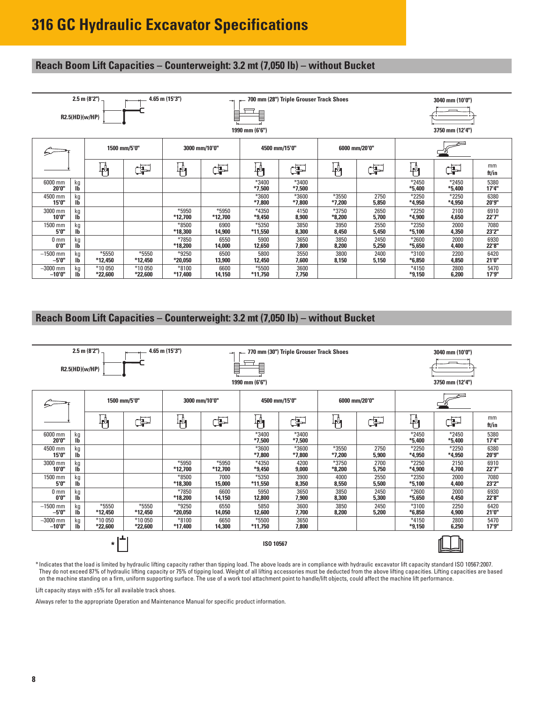### **Reach Boom Lift Capacities – Counterweight: 3.2 mt (7,050 lb) – without Bucket**

|                          |              | $2.5$ m $(8'2'')$<br>R2.5(HD)(w/HP) |                    | $4.65$ m $(15'3'')$ | ⇥<br>B           | ▤<br>1990 mm (6'6") | 700 mm (28") Triple Grouser Track Shoes |                   |               |                     | 3040 mm (10'0")<br>3750 mm (12'4") |               |
|--------------------------|--------------|-------------------------------------|--------------------|---------------------|------------------|---------------------|-----------------------------------------|-------------------|---------------|---------------------|------------------------------------|---------------|
|                          | 1500 mm/5'0" |                                     |                    | 3000 mm/10'0"       |                  | 4500 mm/15'0"       |                                         |                   | 6000 mm/20'0" |                     |                                    |               |
|                          |              | 軥                                   | F                  | ₩                   | ď                | 判                   | Þ                                       | 軜                 | ď             | ╟╜                  | Œ                                  | mm<br>ft/in   |
| 6000 mm<br>20'0"         | kg<br>IĎ     |                                     |                    |                     |                  | *3400<br>$*7,500$   | *3400<br>$*7,500$                       |                   |               | $*2450$<br>$*5,400$ | $*2450$<br>$*5,400$                | 5380<br>17'4" |
| 4500 mm<br>15'0"         | kg<br>Ib     |                                     |                    |                     |                  | *3600<br>$*7,800$   | *3600<br>$*7,800$                       | *3550<br>$*7,200$ | 2750<br>5,850 | $*2250$<br>*4,950   | $*2250$<br>*4,950                  | 6380<br>20'9" |
| 3000 mm<br>10'0"         | kg<br>Ib     |                                     |                    | *5950<br>*12,700    | *5950<br>*12,700 | *4350<br>$*9,450$   | 4150<br>8,900                           | *3750<br>$*8,200$ | 2650<br>5,700 | $*2250$<br>$*4,900$ | 2100<br>4,650                      | 6910<br>22'7" |
| 1500 mm<br>5'0"          | kg<br>IĎ     |                                     |                    | *8500<br>*18,300    | 6900<br>14,900   | *5350<br>*11,550    | 3850<br>8,300                           | 3950<br>8,450     | 2550<br>5,450 | $*2350$<br>$*5,100$ | 2000<br>4,350                      | 7080<br>23'2" |
| 0 <sub>mm</sub><br>0'0'' | kg<br>ТĎ     |                                     |                    | *7850<br>*18,200    | 6550<br>14,000   | 5900<br>12,650      | 3650<br>7,800                           | 3850<br>8,200     | 2450<br>5,250 | *2600<br>$*5,650$   | 2000<br>4,400                      | 6930<br>22'8" |
| $-1500$ mm<br>-5'0"      | kg<br>IБ     | *5550<br>*12,450                    | *5550<br>*12,450   | *9250<br>$*20,050$  | 6500<br>13,900   | 5800<br>12,450      | 3550<br>7,600                           | 3800<br>8,150     | 2400<br>5,150 | *3100<br>$*6,850$   | 2200<br>4,850                      | 6420<br>21'0" |
| $-3000$ mm<br>$-10'0''$  | kg<br>IБ     | *10 050<br>*22,600                  | *10 050<br>*22,600 | *8100<br>*17,400    | 6600<br>14,150   | *5500<br>*11,750    | 3600<br>7,750                           |                   |               | $*4150$<br>$*9,150$ | 2800<br>6,200                      | 5470<br>17'9" |

### **Reach Boom Lift Capacities – Counterweight: 3.2 mt (7,050 lb) – without Bucket**

|                                                                                                                                                                      | R2.5(HD)(w/HP)       | 2.5 m (8'2") $-$ |                  | 4.65 m (15'3")     | E                | l<br>1990 mm (6'6") | 770 mm (30") Triple Grouser Track Shoes |                     |               |                     | 3040 mm (10'0")<br>3750 mm (12'4") |               |
|----------------------------------------------------------------------------------------------------------------------------------------------------------------------|----------------------|------------------|------------------|--------------------|------------------|---------------------|-----------------------------------------|---------------------|---------------|---------------------|------------------------------------|---------------|
|                                                                                                                                                                      |                      | 1500 mm/5'0"     |                  | 3000 mm/10'0"      |                  | 4500 mm/15'0"       |                                         |                     | 6000 mm/20'0" |                     |                                    |               |
|                                                                                                                                                                      |                      | 軜                | F                | $\psi_1$           | ďP               | Ψη                  | ďP                                      | ₩                   | ¢P            | $\mathbb{F}^4$      | Þ                                  | mm<br>ft/in   |
| 6000 mm<br>20'0"                                                                                                                                                     | kg<br>lb             |                  |                  |                    |                  | *3400<br>$*7,500$   | *3400<br>$*7,500$                       |                     |               | $*2450$<br>$*5,400$ | $*2450$<br>*5,400                  | 5380<br>17'4" |
| 4500 mm<br>15'0"                                                                                                                                                     | kg<br>Ib             |                  |                  |                    |                  | *3600<br>$*7,800$   | $*3600$<br>$*7,800$                     | *3550<br>$*7,200$   | 2750<br>5,900 | $*2250$<br>$*4,950$ | $*2250$<br>$*4,950$                | 6380<br>20'9" |
| 3000 mm<br>10'0"                                                                                                                                                     | kg<br>Ib             |                  |                  | *5950<br>*12,700   | *5950<br>*12,700 | $*4350$<br>$*9,450$ | 4200<br>9,000                           | $*3750$<br>$*8,200$ | 2700<br>5,750 | $*2250$<br>$*4,900$ | 2150<br>4,700                      | 6910<br>22'7" |
| 1500 mm<br>5'0"                                                                                                                                                      | kg<br>Ib             |                  |                  | $*8500$<br>*18,300 | 7000<br>15,000   | *5350<br>*11,550    | 3900<br>8,350                           | 4000<br>8,550       | 2550<br>5,500 | $*2350$<br>$*5,100$ | 2000<br>4,400                      | 7080<br>23'2" |
| 0 <sub>mm</sub><br>0'0"                                                                                                                                              | kg<br>Ib             |                  |                  | *7850<br>*18,200   | 6600<br>14,150   | 5950<br>12,800      | 3650<br>7,900                           | 3850<br>8,300       | 2450<br>5,300 | *2600<br>$*5,650$   | 2000<br>4,450                      | 6930<br>22'8" |
| $-1500$ mm<br>$-5'0''$                                                                                                                                               | kg<br>Ib             | *5550<br>*12,450 | *5550<br>*12,450 | $*9250$<br>*20,050 | 6550<br>14,050   | 5850<br>12,600      | 3600<br>7,700                           | 3850<br>8,200       | 2450<br>5,200 | *3100<br>$*6,850$   | 2250<br>4,900                      | 6420<br>21'0" |
| $-3000$ mm<br>*10 050<br>*10 050<br>$*8100$<br>$*5500$<br>3650<br>6650<br>kg<br>$-10'0''$<br>Ib<br>$*22,600$<br>$*22,600$<br>*17,400<br>14,300<br>$*11,750$<br>7,800 |                      |                  |                  |                    |                  |                     |                                         |                     |               | $*4150$<br>$*9,150$ | 2800<br>6,250                      | 5470<br>17'9" |
|                                                                                                                                                                      | ISO 10567<br>$\star$ |                  |                  |                    |                  |                     |                                         |                     |               |                     |                                    |               |

\* Indicates that the load is limited by hydraulic lifting capacity rather than tipping load. The above loads are in compliance with hydraulic excavator lift capacity standard ISO 10567:2007. They do not exceed 87% of hydraulic lifting capacity or 75% of tipping load. Weight of all lifting accessories must be deducted from the above lifting capacities. Lifting capacities are based on the machine standing on a firm, uniform supporting surface. The use of a work tool attachment point to handle/lift objects, could affect the machine lift performance.

Lift capacity stays with  $\pm 5\%$  for all available track shoes.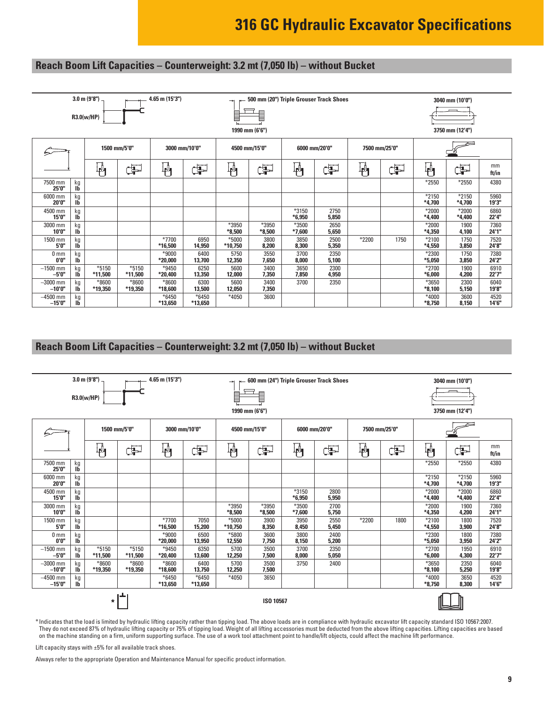### **Reach Boom Lift Capacities – Counterweight: 3.2 mt (7,050 lb) – without Bucket**

|                         |                 | $3.0 \text{ m} (9'8'')$<br>R3.0(w/HP) |                    | 4.65 m (15'3")       |                    | $\rightarrow$      | 1990 mm (6'6")    |                   | 500 mm (20") Triple Grouser Track Shoes |                 |      |                     | 3040 mm (10'0")<br>3750 mm (12'4") |                |
|-------------------------|-----------------|---------------------------------------|--------------------|----------------------|--------------------|--------------------|-------------------|-------------------|-----------------------------------------|-----------------|------|---------------------|------------------------------------|----------------|
|                         | 1500 mm/5'0"    |                                       |                    |                      | 3000 mm/10'0"      | 4500 mm/15'0"      |                   | 6000 mm/20'0"     |                                         | 7500 mm/25'0"   |      |                     |                                    |                |
|                         |                 | 桝                                     | Þ                  | $\psi_1$             | Þ                  | կ≬<br>Ք¶           | Þ                 | 判                 | Œ                                       | $\mathbf{\Psi}$ | Þ    | 軜                   | 中                                  | mm<br>ft/in    |
| 7500 mm<br>25'0"        | kg<br>IĎ        |                                       |                    |                      |                    |                    |                   |                   |                                         |                 |      | $*2550$             | *2550                              | 4380           |
| 6000 mm<br>20'0"        | kg<br><b>Ib</b> |                                       |                    |                      |                    |                    |                   |                   |                                         |                 |      | $*2150$<br>$*4,700$ | *2150<br>$*4,700$                  | 5960<br>19'3"  |
| 4500 mm<br>15'0"        | kg<br><b>Ib</b> |                                       |                    |                      |                    |                    |                   | *3150<br>$*6,950$ | 2750<br>5,850                           |                 |      | $*2000$<br>$*4.400$ | *2000<br>*4,400                    | 6860<br>22'4"  |
| 3000 mm<br>10'0"        | kg<br><b>Ib</b> |                                       |                    |                      |                    | *3950<br>$*8,500$  | *3950<br>$*8,500$ | *3500<br>$*7,600$ | 2650<br>5,650                           |                 |      | $*2000$<br>$*4,350$ | 1900<br>4,100                      | 7360<br>24'1"  |
| 1500 mm<br>5'0"         | kg<br>ТĎ        |                                       |                    | *7700<br>*16,500     | 6950<br>14,950     | *5000<br>$*10,750$ | 3800<br>8,200     | 3850<br>8,300     | 2500<br>5,350                           | *2200           | 1750 | $*2100$<br>$*4,550$ | 1750<br>3,850                      | 7520<br>24'8"  |
| 0 <sub>mm</sub><br>0'0" | kg<br><b>Ib</b> |                                       |                    | $*9000$<br>$*20,000$ | 6400<br>13,700     | 5750<br>12,350     | 3550<br>7,650     | 3700<br>8.000     | 2350<br>5,100                           |                 |      | $*2300$<br>$*5,050$ | 1750<br>3,850                      | 7380<br>24'2"  |
| $-1500$ mm<br>$-5'0''$  | kg<br><b>Ib</b> | $*5150$<br>*11,500                    | *5150<br>*11,500   | *9450<br>$*20,400$   | 6250<br>13,350     | 5600<br>12,000     | 3400<br>7,350     | 3650<br>7,850     | 2300<br>4,950                           |                 |      | $*2700$<br>$*6,000$ | 1900<br>4,200                      | 6910<br>22'7'' |
| $-3000$ mm<br>$-10'0''$ | kg<br><b>Ib</b> | *8600<br>*19,350                      | $*8600$<br>*19,350 | $*8600$<br>*18,600   | 6300<br>13,500     | 5600<br>12,050     | 3400<br>7,350     | 3700              | 2350                                    |                 |      | *3650<br>$*8.100$   | 2300<br>5,150                      | 6040<br>19'8"  |
| $-4500$ mm<br>$-15'0''$ | kg<br><b>Ib</b> |                                       |                    | $*6450$<br>*13,650   | $*6450$<br>*13,650 | $*4050$            | 3600              |                   |                                         |                 |      | $*4000$<br>$*8,750$ | 3600<br>8,150                      | 4520<br>14'6"  |

### **Reach Boom Lift Capacities – Counterweight: 3.2 mt (7,050 lb) – without Bucket**

|                                                                                                    |                      | $3.0 \text{ m} (9'8'')$ |                    | 4.65 m (15'3")     |                | ⇥                 | 600 mm (24") Triple Grouser Track Shoes |                     |               |               |                     |                     | 3040 mm (10'0")     |               |
|----------------------------------------------------------------------------------------------------|----------------------|-------------------------|--------------------|--------------------|----------------|-------------------|-----------------------------------------|---------------------|---------------|---------------|---------------------|---------------------|---------------------|---------------|
|                                                                                                    |                      | R3.0(w/HP)              |                    |                    |                |                   | E                                       |                     |               |               |                     |                     |                     |               |
|                                                                                                    |                      |                         |                    |                    |                | 1990 mm (6'6")    |                                         |                     |               |               |                     |                     | 3750 mm (12'4")     |               |
|                                                                                                    |                      | 1500 mm/5'0"            |                    | 3000 mm/10'0"      |                | 4500 mm/15'0"     |                                         | 6000 mm/20'0"       |               | 7500 mm/25'0" |                     |                     |                     |               |
|                                                                                                    | ₩<br>ďP<br>判         |                         |                    | ď                  | 吶              | Œ                 | ₩                                       | Þ                   | ₩             | Þ             | 吶                   | Ë                   | mm<br>ft/in         |               |
| 7500 mm<br>25'0"                                                                                   | kg<br>Ib             |                         |                    |                    |                |                   |                                         |                     |               |               |                     | *2550               | *2550               | 4380          |
| 6000 mm<br>20'0"                                                                                   | kg<br>Ib             |                         |                    |                    |                |                   |                                         |                     |               |               |                     | *2150<br>*4.700     | $*2150$<br>$*4,700$ | 5960<br>19'3" |
| 4500 mm<br>15'0"                                                                                   | kg<br>lb             |                         |                    |                    |                |                   |                                         | $*3150$<br>$*6,950$ | 2800<br>5,950 |               |                     | $*2000$<br>$*4,400$ | $*2000$<br>$*4,400$ | 6860<br>22'4" |
| 3000 mm<br>10'0"                                                                                   | kg<br>Ib             |                         |                    |                    |                | *3950<br>$*8,500$ | *3950<br>$*8,500$                       | *3500<br>$*7.600$   | 2700<br>5,750 |               |                     | $*2000$<br>$*4.350$ | 1900<br>4,200       | 7360<br>24'1" |
| 1500 mm<br>5'0"                                                                                    | kg<br>Ib             |                         |                    | *7700<br>*16,500   | 7050<br>15,200 | *5000<br>*10.750  | 3900<br>8,350                           | 3950<br>8.450       | 2550<br>5,450 | *2200         | 1800                | $*2100$<br>$*4.550$ | 1800<br>3,900       | 7520<br>24'8" |
| 0 <sub>mm</sub><br>0'0''                                                                           | kg<br>lb             |                         |                    | $*9000$<br>*20,000 | 6500<br>13,950 | *5800<br>12,550   | 3600<br>7,750                           | 3800<br>8.150       | 2400<br>5,200 |               |                     | $*2300$<br>$*5.050$ | 1800<br>3,950       | 7380<br>24'2" |
| $-1500$ mm<br>$-5'0''$                                                                             | kg<br>lb             | $*5150$<br>*11,500      | $*5150$<br>*11,500 | *9450<br>*20,400   | 6350<br>13,600 | 5700<br>12,250    | 3500<br>7,500                           | 3700<br>8,000       | 2350<br>5,050 |               |                     | $*2700$<br>$*6,000$ | 1950<br>4,300       | 6910<br>22'7" |
| $-3000$ mm<br>$-10'0''$                                                                            | kg<br>lb             | $*8600$<br>*19,350      | $*8600$<br>*19,350 | *8600<br>*18,600   | 6400<br>13,750 | 5700<br>12,250    | 3500<br>7,500                           | 3750                | 2400          |               |                     | *3650<br>$*8,100$   | 2350<br>5,250       | 6040<br>19'8" |
| $*6450$<br>$-4500$ mm<br>$*6450$<br>$*4050$<br>3650<br>kg<br>$-15'0''$<br>lb<br>*13,650<br>*13,650 |                      |                         |                    |                    |                |                   |                                         |                     |               |               | $*4000$<br>$*8.750$ | 3650<br>8,300       | 4520<br>14'6"       |               |
|                                                                                                    | ISO 10567<br>$\star$ |                         |                    |                    |                |                   |                                         |                     |               |               |                     |                     |                     |               |

\* Indicates that the load is limited by hydraulic lifting capacity rather than tipping load. The above loads are in compliance with hydraulic excavator lift capacity standard ISO 10567:2007. They do not exceed 87% of hydraulic lifting capacity or 75% of tipping load. Weight of all lifting accessories must be deducted from the above lifting capacities. Lifting capacities are based on the machine standing on a firm, uniform supporting surface. The use of a work tool attachment point to handle/lift objects, could affect the machine lift performance.

Lift capacity stays with  $\pm 5\%$  for all available track shoes.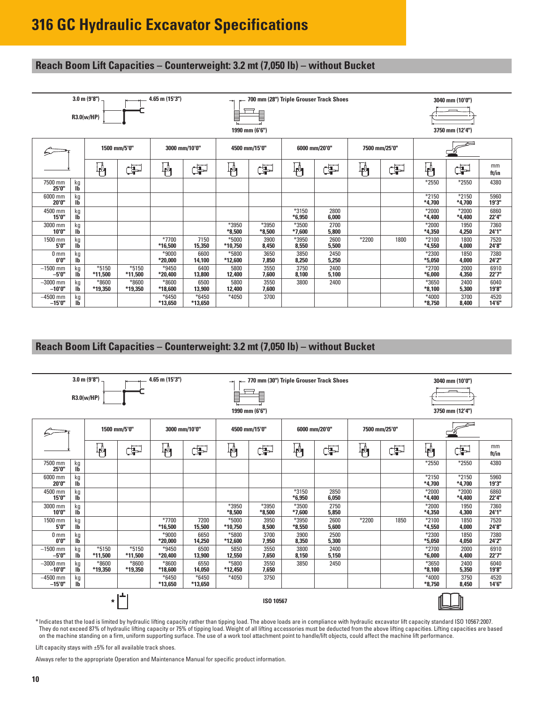### **Reach Boom Lift Capacities – Counterweight: 3.2 mt (7,050 lb) – without Bucket**

|                          |                 | $3.0 \text{ m} (9'8'')$<br>R3.0(w/HP) |                    | $4.65$ m $(15'3'')$ |                    | ⇥                  | l<br>1990 mm (6'6") | 700 mm (28") Triple Grouser Track Shoes |               |               |      |                     | 3040 mm (10'0")<br>3750 mm (12'4") |               |
|--------------------------|-----------------|---------------------------------------|--------------------|---------------------|--------------------|--------------------|---------------------|-----------------------------------------|---------------|---------------|------|---------------------|------------------------------------|---------------|
|                          | 1500 mm/5'0"    |                                       |                    |                     | 3000 mm/10'0"      |                    | 4500 mm/15'0"       | 6000 mm/20'0"                           |               | 7500 mm/25'0" |      |                     |                                    |               |
|                          |                 | 軜                                     | Œ                  | 軜                   | ĠP                 | կ≬<br>Ք¶           | Þ                   | ↓<br>⊹¶                                 | Þ             | $\frac{1}{4}$ | ď    | 吶                   | Þ                                  | mm<br>ft/in   |
| 7500 mm<br>25'0"         | kg<br><b>Ib</b> |                                       |                    |                     |                    |                    |                     |                                         |               |               |      | *2550               | $*2550$                            | 4380          |
| 6000 mm<br>20'0"         | kg<br>IĎ        |                                       |                    |                     |                    |                    |                     |                                         |               |               |      | $*2150$<br>$*4.700$ | $*2150$<br>$*4,700$                | 5960<br>19'3" |
| 4500 mm<br>15'0"         | kg<br>Ib        |                                       |                    |                     |                    |                    |                     | *3150<br>$*6,950$                       | 2800<br>6,000 |               |      | $*2000$<br>$*4,400$ | *2000<br>$*4,400$                  | 6860<br>22'4" |
| 3000 mm<br>10'0"         | kg<br><b>Ib</b> |                                       |                    |                     |                    | *3950<br>$*8,500$  | *3950<br>$*8,500$   | *3500<br>$*7,600$                       | 2700<br>5,800 |               |      | $*2000$<br>$*4,350$ | 1950<br>4,250                      | 7360<br>24'1" |
| 1500 mm<br>5'0"          | kg<br>IĎ        |                                       |                    | $*7700$<br>*16,500  | 7150<br>15,350     | $*5000$<br>*10,750 | 3900<br>8,450       | *3950<br>8,550                          | 2600<br>5,500 | $*2200$       | 1800 | *2100<br>$*4,550$   | 1800<br>4,000                      | 7520<br>24'8" |
| 0 <sub>mm</sub><br>0'0'' | kg<br><b>Ib</b> |                                       |                    | $*9000$<br>*20,000  | 6600<br>14,100     | *5800<br>*12,600   | 3650<br>7,850       | 3850<br>8,250                           | 2450<br>5,250 |               |      | *2300<br>$*5,050$   | 1850<br>4,000                      | 7380<br>24'2" |
| $-1500$ mm<br>$-5'0''$   | kg<br><b>Ib</b> | $*5150$<br>*11,500                    | $*5150$<br>*11,500 | $*9450$<br>*20,400  | 6400<br>13,800     | 5800<br>12,400     | 3550<br>7,600       | 3750<br>8,100                           | 2400<br>5,100 |               |      | *2700<br>$*6,000$   | 2000<br>4,350                      | 6910<br>22'7" |
| $-3000$ mm<br>$-10'0''$  | kg<br><b>Ib</b> | $*8600$<br>*19,350                    | $*8600$<br>*19,350 | $*8600$<br>*18,600  | 6500<br>13,900     | 5800<br>12,400     | 3550<br>7,600       | 3800                                    | 2400          |               |      | *3650<br>$*8,100$   | 2400<br>5,300                      | 6040<br>19'8" |
| -4500 mm<br>$-15'0''$    | kg<br><b>Ib</b> |                                       |                    | $*6450$<br>*13,650  | $*6450$<br>*13,650 | $*4050$            | 3700                |                                         |               |               |      | *4000<br>$*8,750$   | 3700<br>8,400                      | 4520<br>14'6" |

### **Reach Boom Lift Capacities – Counterweight: 3.2 mt (7,050 lb) – without Bucket**

|                                                                                                    |                      | $3.0 \text{ m} (9'8'')$<br>R3.0(w/HP) |                    | 4.65 m (15'3")       |                | →<br>1990 mm (6'6") | 770 mm (30") Triple Grouser Track Shoes<br>$\equiv$ |                   |               |               |                     |                     | 3040 mm (10'0")<br>3750 mm (12'4") |               |
|----------------------------------------------------------------------------------------------------|----------------------|---------------------------------------|--------------------|----------------------|----------------|---------------------|-----------------------------------------------------|-------------------|---------------|---------------|---------------------|---------------------|------------------------------------|---------------|
|                                                                                                    |                      | 1500 mm/5'0"                          |                    | 3000 mm/10'0"        |                | 4500 mm/15'0"       |                                                     | 6000 mm/20'0"     |               | 7500 mm/25'0" |                     |                     |                                    |               |
|                                                                                                    |                      | 抖                                     | ₩<br>Þ<br>ďP       |                      |                | ╟╢                  | F                                                   | ₩                 | Þ             | ₩             | Þ                   | $\mathbb{F}_1$      | F                                  | mm<br>ft/in   |
| 7500 mm<br>25'0"                                                                                   | kg<br>Ib             |                                       |                    |                      |                |                     |                                                     |                   |               |               |                     | *2550               | $*2550$                            | 4380          |
| 6000 mm<br>20'0"                                                                                   | kg<br>Ib             |                                       |                    |                      |                |                     |                                                     |                   |               |               |                     | $*2150$<br>*4.700   | $*2150$<br>$*4,700$                | 5960<br>19'3" |
| 4500 mm<br>15'0"                                                                                   | kg<br>lb             |                                       |                    |                      |                |                     |                                                     | *3150<br>$*6,950$ | 2850<br>6,050 |               |                     | $*2000$<br>$*4,400$ | $*2000$<br>$*4,400$                | 6860<br>22'4" |
| 3000 mm<br>10'0"                                                                                   | kg<br>Ib             |                                       |                    |                      |                | *3950<br>$*8,500$   | *3950<br>$*8,500$                                   | *3500<br>$*7.600$ | 2750<br>5,850 |               |                     | *2000<br>$*4,350$   | 1950<br>4,300                      | 7360<br>24'1" |
| 1500 mm<br>5'0"                                                                                    | kg<br>Ib             |                                       |                    | *7700<br>*16,500     | 7200<br>15,500 | $*5000$<br>*10.750  | 3950<br>8,500                                       | *3950<br>$*8.550$ | 2600<br>5,600 | *2200         | 1850                | $*2100$<br>$*4.550$ | 1850<br>4.000                      | 7520<br>24'8" |
| 0 <sub>mm</sub><br>0'0''                                                                           | kg<br>lb             |                                       |                    | $*9000$<br>$*20,000$ | 6650<br>14,250 | *5800<br>*12,600    | 3700<br>7,950                                       | 3900<br>8,350     | 2500<br>5,300 |               |                     | *2300<br>$*5,050$   | 1850<br>4,050                      | 7380<br>24'2" |
| $-1500$ mm<br>$-5'0''$                                                                             | kg<br>lb             | $*5150$<br>*11,500                    | $*5150$<br>*11,500 | *9450<br>*20,400     | 6500<br>13,900 | 5850<br>12,550      | 3550<br>7,650                                       | 3800<br>8,150     | 2400<br>5,150 |               |                     | *2700<br>$*6.000$   | 2000<br>4,400                      | 6910<br>22'7" |
| $-3000$ mm<br>$-10'0''$                                                                            | kg<br>lb             | $*8600$<br>*19,350                    | $*8600$<br>*19,350 | *8600<br>*18,600     | 6550<br>14,050 | *5800<br>*12,450    | 3550<br>7,650                                       | 3850              | 2450          |               |                     | *3650<br>$*8.100$   | 2400<br>5,350                      | 6040<br>19'8" |
| $-4500$ mm<br>$*6450$<br>$*6450$<br>$*4050$<br>3750<br>kg<br>$-15'0''$<br>lb<br>*13,650<br>*13,650 |                      |                                       |                    |                      |                |                     |                                                     |                   |               |               | $*4000$<br>$*8.750$ | 3750<br>8,450       | 4520<br>14'6"                      |               |
|                                                                                                    | ISO 10567<br>$\star$ |                                       |                    |                      |                |                     |                                                     |                   |               |               |                     |                     |                                    |               |

\* Indicates that the load is limited by hydraulic lifting capacity rather than tipping load. The above loads are in compliance with hydraulic excavator lift capacity standard ISO 10567:2007. They do not exceed 87% of hydraulic lifting capacity or 75% of tipping load. Weight of all lifting accessories must be deducted from the above lifting capacities. Lifting capacities are based on the machine standing on a firm, uniform supporting surface. The use of a work tool attachment point to handle/lift objects, could affect the machine lift performance.

Lift capacity stays with  $\pm 5\%$  for all available track shoes.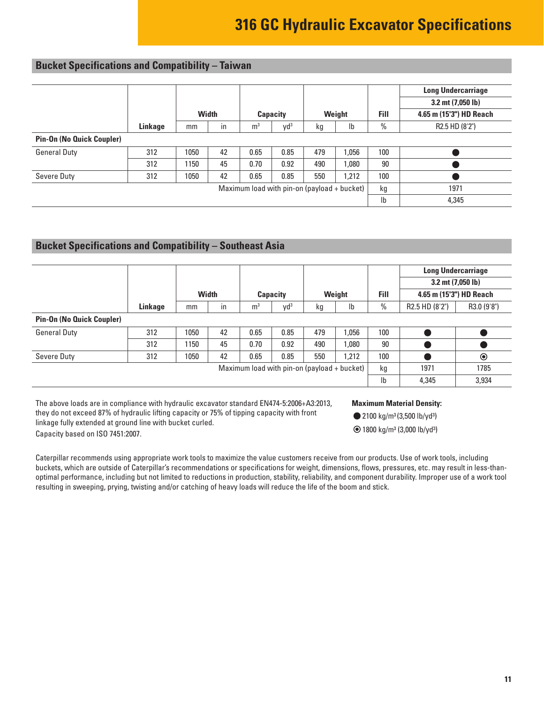## <span id="page-10-0"></span>**Bucket Specifications and Compatibility – Taiwan**

|                                  |         |                                               |       |                |          |     |        |                | <b>Long Undercarriage</b> |
|----------------------------------|---------|-----------------------------------------------|-------|----------------|----------|-----|--------|----------------|---------------------------|
|                                  |         |                                               |       |                |          |     |        |                | $3.2$ mt $(7,050$ lb)     |
|                                  |         |                                               | Width |                | Capacity |     | Weight | Fill           | 4.65 m (15'3") HD Reach   |
|                                  | Linkage | mm                                            | in    | m <sup>3</sup> | $yd^3$   | kg  | Ib     | $\%$           | R2.5 HD (8'2")            |
| <b>Pin-On (No Quick Coupler)</b> |         |                                               |       |                |          |     |        |                |                           |
| <b>General Duty</b>              | 312     | 1050                                          | 42    | 0.65           | 0.85     | 479 | 1.056  | 100            |                           |
|                                  | 312     | 1150                                          | 45    | 0.70           | 0.92     | 490 | 1,080  | 90             |                           |
| Severe Duty                      | 312     | 1050                                          | 42    | 0.65           | 0.85     | 550 | 1,212  | 100            |                           |
|                                  |         | Maximum load with pin-on (payload $+$ bucket) | kg    | 1971           |          |     |        |                |                           |
|                                  |         |                                               |       |                |          |     |        | I <sub>b</sub> | 4,345                     |

### **Bucket Specifications and Compatibility – Southeast Asia**

|                                  |         |                                             |                |                |                 |     |        |      |                | <b>Long Undercarriage</b> |  |
|----------------------------------|---------|---------------------------------------------|----------------|----------------|-----------------|-----|--------|------|----------------|---------------------------|--|
|                                  |         |                                             |                |                |                 |     |        |      |                | $3.2$ mt $(7,050$ lb)     |  |
|                                  |         |                                             | <b>Width</b>   |                | <b>Capacity</b> |     | Weight | Fill |                | 4.65 m (15'3") HD Reach   |  |
|                                  | Linkage | mm                                          | in             | m <sup>3</sup> | yd <sup>3</sup> | kg  | lb     | $\%$ | R2.5 HD (8'2") | R3.0 (9'8")               |  |
| <b>Pin-On (No Quick Coupler)</b> |         |                                             |                |                |                 |     |        |      |                |                           |  |
| <b>General Duty</b>              | 312     | 1050                                        | 42             | 0.65           | 0.85            | 479 | 1.056  | 100  |                |                           |  |
|                                  | 312     | 1150                                        | 45             | 0.70           | 0.92            | 490 | 1.080  | 90   |                |                           |  |
| Severe Duty                      | 312     | 1050                                        | 42             | 0.65           | 0.85            | 550 | 1.212  | 100  |                | $\circledcirc$            |  |
|                                  |         | Maximum load with pin-on (payload + bucket) | kg             | 1971           | 1785            |     |        |      |                |                           |  |
|                                  |         |                                             | I <sub>b</sub> | 4,345          | 3,934           |     |        |      |                |                           |  |

The above loads are in compliance with hydraulic excavator standard EN474-5:2006+A3:2013, they do not exceed 87% of hydraulic lifting capacity or 75% of tipping capacity with front linkage fully extended at ground line with bucket curled. Capacity based on ISO 7451:2007.

#### **Maximum Material Density:**

- 2100 kg/m<sup>3</sup> (3,500 lb/yd<sup>3</sup>)
- 1800 kg/m3 (3,000 lb/yd3)

Caterpillar recommends using appropriate work tools to maximize the value customers receive from our products. Use of work tools, including buckets, which are outside of Caterpillar's recommendations or specifications for weight, dimensions, flows, pressures, etc. may result in less-thanoptimal performance, including but not limited to reductions in production, stability, reliability, and component durability. Improper use of a work tool resulting in sweeping, prying, twisting and/or catching of heavy loads will reduce the life of the boom and stick.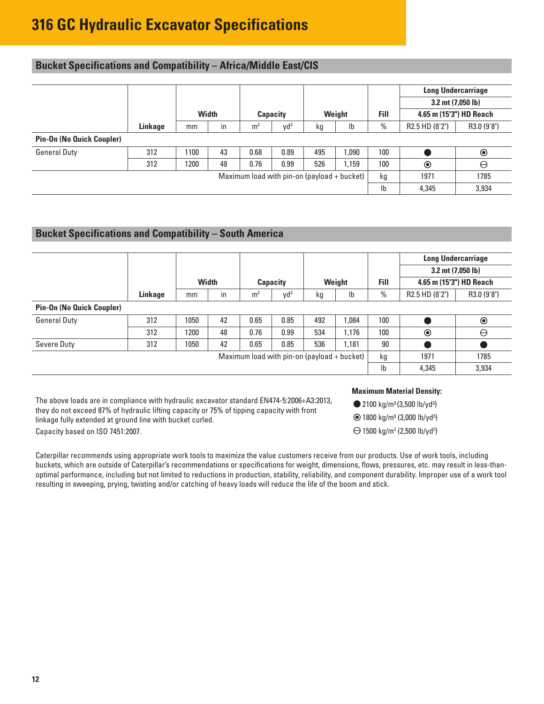## <span id="page-11-0"></span>**Bucket Specifications and Compatibility – Africa/Middle East/CIS**

|                                  |         |       |      |                |                 |     |        |      |                         | <b>Long Undercarriage</b> |
|----------------------------------|---------|-------|------|----------------|-----------------|-----|--------|------|-------------------------|---------------------------|
|                                  |         |       |      |                |                 |     |        |      | 3.2 mt (7,050 lb)       |                           |
|                                  |         | Width |      |                | <b>Capacity</b> |     | Weight | Fill | 4.65 m (15'3") HD Reach |                           |
|                                  | Linkage | mm    | in   | m <sup>3</sup> | yd <sup>3</sup> | kg  | Ib     | $\%$ | R2.5 HD (8'2")          | R3.0 (9'8")               |
| <b>Pin-On (No Quick Coupler)</b> |         |       |      |                |                 |     |        |      |                         |                           |
| <b>General Duty</b>              | 312     | 1100  | 43   | 0.68           | 0.89            | 495 | 1.090  | 100  |                         | $\circledcirc$            |
|                                  | 312     | 1200  | 48   | 0.76           | 0.99            | 526 | 1,159  | 100  | $\circledcirc$          | $\ominus$                 |
|                                  | kg      | 1971  | 1785 |                |                 |     |        |      |                         |                           |
|                                  |         |       | Ib   | 4,345          | 3,934           |     |        |      |                         |                           |

### **Bucket Specifications and Compatibility – South America**

|                                             |         |       |    |                 |        |        |       |                           | <b>Long Undercarriage</b><br>$3.2$ mt $(7,050$ lb) |             |
|---------------------------------------------|---------|-------|----|-----------------|--------|--------|-------|---------------------------|----------------------------------------------------|-------------|
|                                             |         |       |    |                 |        |        |       |                           |                                                    |             |
|                                             |         | Width |    | <b>Capacity</b> |        | Weight |       | Fill                      | 4.65 m (15'3") HD Reach                            |             |
|                                             | Linkage | mm    | in | m <sup>3</sup>  | $yd^3$ | kg     | Ib    | $\frac{0}{0}$             | R2.5 HD (8'2")                                     | R3.0 (9'8") |
| <b>Pin-On (No Quick Coupler)</b>            |         |       |    |                 |        |        |       |                           |                                                    |             |
| <b>General Duty</b>                         | 312     | 1050  | 42 | 0.65            | 0.85   | 492    | 1.084 | 100                       |                                                    | $\odot$     |
|                                             | 312     | 1200  | 48 | 0.76            | 0.99   | 534    | 1,176 | 100                       | $\odot$                                            | $\ominus$   |
| Severe Duty                                 | 312     | 1050  | 42 | 0.65            | 0.85   | 536    | 1,181 | 90                        |                                                    |             |
| Maximum load with pin-on (payload + bucket) |         |       |    |                 | kg     | 1971   | 1785  |                           |                                                    |             |
|                                             |         |       |    |                 |        |        |       | $\mathsf{I}^{\mathsf{b}}$ | 4,345                                              | 3,934       |

The above loads are in compliance with hydraulic excavator standard EN474-5:2006+A3:2013, they do not exceed 87% of hydraulic lifting capacity or 75% of tipping capacity with front linkage fully extended at ground line with bucket curled. Capacity based on ISO 7451:2007.

#### **Maximum Material Density:**

- 2100 kg/m<sup>3</sup> (3,500 lb/yd<sup>3</sup>)
- 1800 kg/m3 (3,000 lb/yd3)
- 1500 kg/m3 (2,500 lb/yd3 )

Caterpillar recommends using appropriate work tools to maximize the value customers receive from our products. Use of work tools, including buckets, which are outside of Caterpillar's recommendations or specifications for weight, dimensions, flows, pressures, etc. may result in less-thanoptimal performance, including but not limited to reductions in production, stability, reliability, and component durability. Improper use of a work tool resulting in sweeping, prying, twisting and/or catching of heavy loads will reduce the life of the boom and stick.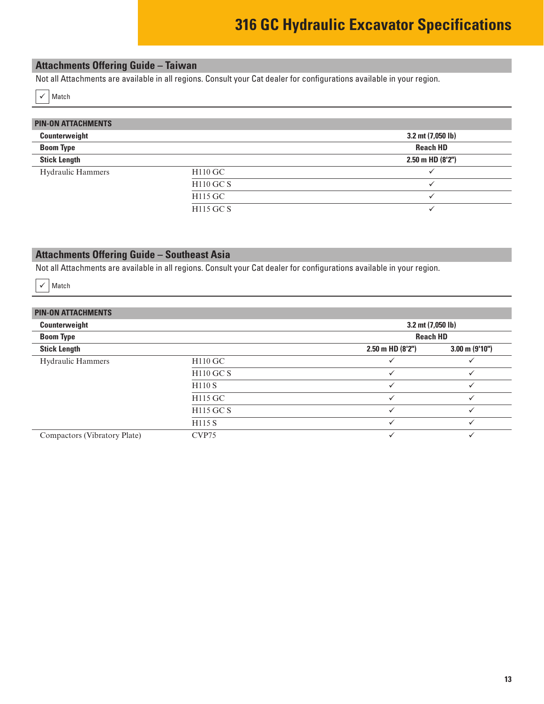### <span id="page-12-0"></span>**Attachments Offering Guide – Taiwan**

Not all Attachments are available in all regions. Consult your Cat dealer for configurations available in your region.

 $\checkmark$  Match

| <b>PIN-ON ATTACHMENTS</b> |                  |                       |
|---------------------------|------------------|-----------------------|
|                           |                  |                       |
| Counterweight             |                  | 3.2 mt (7,050 lb)     |
| <b>Boom Type</b>          |                  | <b>Reach HD</b>       |
| <b>Stick Length</b>       |                  | $2.50$ m HD $(8'2'')$ |
| <b>Hydraulic Hammers</b>  | $H110$ GC        |                       |
|                           | <b>H110 GC S</b> |                       |
|                           | H115 GC          |                       |
|                           | H115 GC S        |                       |

### **Attachments Offering Guide – Southeast Asia**

Not all Attachments are available in all regions. Consult your Cat dealer for configurations available in your region.

 $\checkmark$  Match

### **PIN-ON ATTACHMENTS**

| Counterweight                |                    | 3.2 mt (7,050 lb)<br><b>Reach HD</b> |                          |  |  |
|------------------------------|--------------------|--------------------------------------|--------------------------|--|--|
| <b>Boom Type</b>             |                    |                                      |                          |  |  |
| <b>Stick Length</b>          |                    | $2.50$ m HD $(8'2'')$                | $3.00 \text{ m}$ (9'10") |  |  |
| <b>Hydraulic Hammers</b>     | $H110$ GC          |                                      |                          |  |  |
|                              | <b>H110 GC S</b>   |                                      |                          |  |  |
|                              | H110 S             |                                      | v                        |  |  |
|                              | H115 GC            |                                      |                          |  |  |
|                              | <b>H115 GC S</b>   |                                      |                          |  |  |
|                              | H <sub>115</sub> S |                                      |                          |  |  |
| Compactors (Vibratory Plate) | CVP75              | ✓                                    |                          |  |  |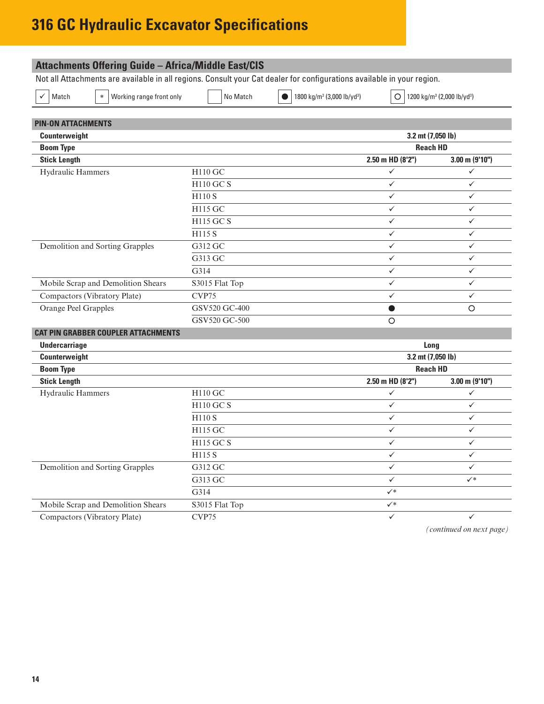<span id="page-13-0"></span>

|                                             |                  | Not all Attachments are available in all regions. Consult your Cat dealer for configurations available in your region. |                   |                                                    |
|---------------------------------------------|------------------|------------------------------------------------------------------------------------------------------------------------|-------------------|----------------------------------------------------|
| Working range front only<br>Match<br>$\ast$ | No Match         | 1800 kg/m <sup>3</sup> (3,000 lb/yd <sup>3</sup> )<br>$\bullet$                                                        | $\circ$           | 1200 kg/m <sup>3</sup> (2,000 lb/yd <sup>3</sup> ) |
| <b>PIN-ON ATTACHMENTS</b>                   |                  |                                                                                                                        |                   |                                                    |
| Counterweight                               |                  |                                                                                                                        | 3.2 mt (7,050 lb) |                                                    |
| <b>Boom Type</b>                            |                  |                                                                                                                        | <b>Reach HD</b>   |                                                    |
| <b>Stick Length</b>                         |                  |                                                                                                                        | 2.50 m HD (8'2")  | $3.00$ m (9'10")                                   |
| Hydraulic Hammers                           | H110 GC          |                                                                                                                        | $\checkmark$      | ✓                                                  |
|                                             | <b>H110 GC S</b> |                                                                                                                        | $\checkmark$      | $\checkmark$                                       |
|                                             | H110 S           |                                                                                                                        | ✓                 | $\checkmark$                                       |
|                                             | H115 GC          |                                                                                                                        | ✓                 | ✓                                                  |
|                                             | <b>H115 GC S</b> |                                                                                                                        | ✓                 | $\checkmark$                                       |
|                                             | H115 S           |                                                                                                                        | ✓                 | $\checkmark$                                       |
| Demolition and Sorting Grapples             | G312 GC          |                                                                                                                        | ✓                 | ✓                                                  |
|                                             | G313 GC          |                                                                                                                        | ✓                 | $\checkmark$                                       |
|                                             | G314             |                                                                                                                        | $\checkmark$      | $\checkmark$                                       |
| Mobile Scrap and Demolition Shears          | S3015 Flat Top   |                                                                                                                        | ✓                 | ✓                                                  |
| Compactors (Vibratory Plate)                | CVP75            |                                                                                                                        | ✓                 | ✓                                                  |
| Orange Peel Grapples                        | GSV520 GC-400    |                                                                                                                        |                   | $\circ$                                            |
|                                             | GSV520 GC-500    |                                                                                                                        | $\circ$           |                                                    |
| <b>CAT PIN GRABBER COUPLER ATTACHMENTS</b>  |                  |                                                                                                                        |                   |                                                    |
| <b>Undercarriage</b>                        |                  |                                                                                                                        | Long              |                                                    |
| Counterweight                               |                  |                                                                                                                        | 3.2 mt (7,050 lb) |                                                    |
| <b>Boom Type</b>                            |                  |                                                                                                                        | <b>Reach HD</b>   |                                                    |
| <b>Stick Length</b>                         |                  |                                                                                                                        | 2.50 m HD (8'2")  | $3.00$ m (9'10")                                   |
| Hydraulic Hammers                           | H110 GC          |                                                                                                                        | ✓                 | ✓                                                  |
|                                             | <b>H110 GC S</b> |                                                                                                                        | ✓                 | $\checkmark$                                       |
|                                             | H110 S           |                                                                                                                        | ✓                 | ✓                                                  |
|                                             | H115 GC          |                                                                                                                        | ✓                 | $\checkmark$                                       |
|                                             | H115 GC S        |                                                                                                                        | ✓                 | ✓                                                  |
|                                             | H115 S           |                                                                                                                        | $\checkmark$      | ✓                                                  |
| Demolition and Sorting Grapples             | G312 GC          |                                                                                                                        | $\checkmark$      | ✓                                                  |
|                                             | G313 GC          |                                                                                                                        | $\checkmark$      | $\checkmark^*$                                     |
|                                             | G314             |                                                                                                                        | $\checkmark^*$    |                                                    |
| Mobile Scrap and Demolition Shears          | S3015 Flat Top   |                                                                                                                        | $\checkmark^*$    |                                                    |
| Compactors (Vibratory Plate)                | CVP75            |                                                                                                                        | $\checkmark$      | $\checkmark$                                       |

*(continued on next page)*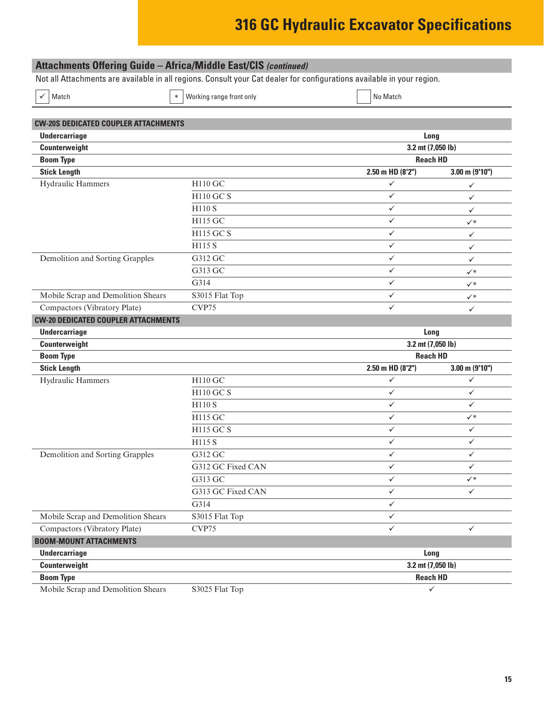| <b>Attachments Offering Guide - Africa/Middle East/CIS (continued)</b>                                                 |                          |                   |                  |  |
|------------------------------------------------------------------------------------------------------------------------|--------------------------|-------------------|------------------|--|
| Not all Attachments are available in all regions. Consult your Cat dealer for configurations available in your region. |                          |                   |                  |  |
| Match<br>$\ast$                                                                                                        | Working range front only | No Match          |                  |  |
|                                                                                                                        |                          |                   |                  |  |
|                                                                                                                        |                          |                   |                  |  |
| <b>CW-20S DEDICATED COUPLER ATTACHMENTS</b><br><b>Undercarriage</b>                                                    |                          | Long              |                  |  |
| Counterweight                                                                                                          |                          | 3.2 mt (7,050 lb) |                  |  |
| <b>Boom Type</b>                                                                                                       |                          | <b>Reach HD</b>   |                  |  |
| <b>Stick Length</b>                                                                                                    |                          | 2.50 m HD (8'2")  | $3.00$ m (9'10") |  |
| Hydraulic Hammers                                                                                                      | H110 GC                  | $\checkmark$      | ✓                |  |
|                                                                                                                        | <b>H110 GC S</b>         | $\checkmark$      | ✓                |  |
|                                                                                                                        | <b>H110 S</b>            | ✓                 | ✓                |  |
|                                                                                                                        | H115 GC                  | ✓                 | $\checkmark^*$   |  |
|                                                                                                                        | <b>H115 GC S</b>         | $\checkmark$      | ✓                |  |
|                                                                                                                        | <b>H115 S</b>            | $\checkmark$      | $\checkmark$     |  |
| Demolition and Sorting Grapples                                                                                        | G312 GC                  | $\checkmark$      | ✓                |  |
|                                                                                                                        | G313 GC                  | $\checkmark$      | $\checkmark^*$   |  |
|                                                                                                                        | G314                     | $\checkmark$      | $\checkmark^*$   |  |
| Mobile Scrap and Demolition Shears                                                                                     | S3015 Flat Top           | ✓                 | $\checkmark^*$   |  |
| Compactors (Vibratory Plate)                                                                                           | CVP75                    | $\checkmark$      | $\checkmark$     |  |
| <b>CW-20 DEDICATED COUPLER ATTACHMENTS</b>                                                                             |                          |                   |                  |  |
| <b>Undercarriage</b>                                                                                                   |                          | Long              |                  |  |
| Counterweight                                                                                                          |                          | 3.2 mt (7,050 lb) |                  |  |
| <b>Boom Type</b>                                                                                                       |                          | <b>Reach HD</b>   |                  |  |
| <b>Stick Length</b>                                                                                                    |                          | 2.50 m HD (8'2")  | $3.00$ m (9'10") |  |
| Hydraulic Hammers                                                                                                      | H110 GC                  | ✓                 | ✓                |  |
|                                                                                                                        | <b>H110 GC S</b>         | ✓                 | $\checkmark$     |  |
|                                                                                                                        | <b>H110 S</b>            | $\checkmark$      | ✓                |  |
|                                                                                                                        | H115 GC                  | $\checkmark$      | $\checkmark^*$   |  |
|                                                                                                                        | H115 GC S                | ✓                 | ✓                |  |
|                                                                                                                        | H115 S                   | ✓                 | ✓                |  |
| Demolition and Sorting Grapples                                                                                        | G312 GC                  | ✓                 | ✓                |  |
|                                                                                                                        | G312 GC Fixed CAN        | $\checkmark$      | ✓                |  |
|                                                                                                                        | G313 GC                  | $\checkmark$      | $\checkmark^*$   |  |
|                                                                                                                        | G313 GC Fixed CAN        | $\checkmark$      | $\checkmark$     |  |
|                                                                                                                        | G314                     | $\checkmark$      |                  |  |
| Mobile Scrap and Demolition Shears                                                                                     | S3015 Flat Top           | $\checkmark$      |                  |  |
| Compactors (Vibratory Plate)                                                                                           | CVP75                    | $\checkmark$      | ✓                |  |
| <b>BOOM-MOUNT ATTACHMENTS</b>                                                                                          |                          |                   |                  |  |
| <b>Undercarriage</b>                                                                                                   |                          | Long              |                  |  |
| Counterweight                                                                                                          |                          | 3.2 mt (7,050 lb) |                  |  |
| <b>Boom Type</b>                                                                                                       |                          | <b>Reach HD</b>   |                  |  |
| Mobile Scrap and Demolition Shears                                                                                     | S3025 Flat Top           | $\checkmark$      |                  |  |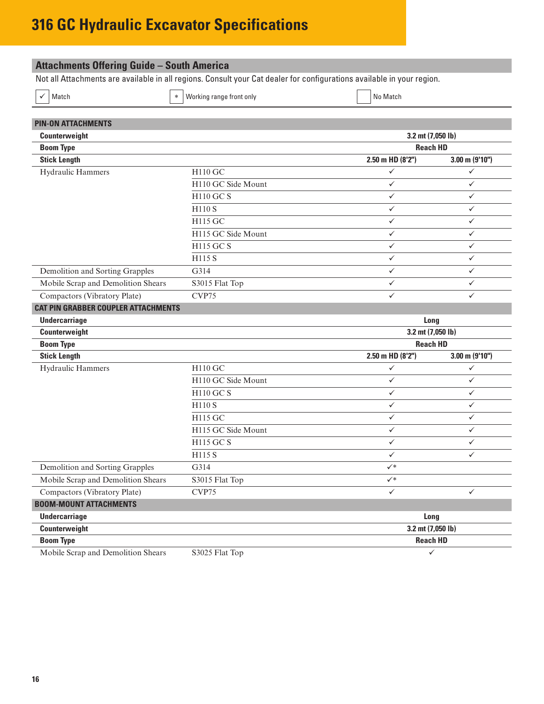<span id="page-15-0"></span>

| <b>Attachments Offering Guide - South America</b>                                                                      |                                      |                   |                     |  |  |
|------------------------------------------------------------------------------------------------------------------------|--------------------------------------|-------------------|---------------------|--|--|
| Not all Attachments are available in all regions. Consult your Cat dealer for configurations available in your region. |                                      |                   |                     |  |  |
| Working range front only<br>Match                                                                                      |                                      | No Match          |                     |  |  |
|                                                                                                                        |                                      |                   |                     |  |  |
| <b>PIN-ON ATTACHMENTS</b>                                                                                              |                                      |                   |                     |  |  |
| Counterweight                                                                                                          | 3.2 mt (7,050 lb)<br><b>Reach HD</b> |                   |                     |  |  |
| <b>Boom Type</b>                                                                                                       |                                      |                   |                     |  |  |
| <b>Stick Length</b>                                                                                                    |                                      | 2.50 m HD (8'2")  | $3.00$ m $(9'10'')$ |  |  |
| Hydraulic Hammers                                                                                                      | H110 GC                              | ✓                 | $\checkmark$        |  |  |
|                                                                                                                        | H110 GC Side Mount                   | $\checkmark$      | $\checkmark$        |  |  |
|                                                                                                                        | H110 GC S                            | $\checkmark$      | $\checkmark$        |  |  |
|                                                                                                                        | <b>H110 S</b>                        | ✓                 | $\checkmark$        |  |  |
|                                                                                                                        | H115 GC                              | $\checkmark$      | $\checkmark$        |  |  |
|                                                                                                                        | H115 GC Side Mount                   | $\checkmark$      | $\checkmark$        |  |  |
|                                                                                                                        | H115 GC S                            | ✓                 | $\checkmark$        |  |  |
|                                                                                                                        | H115 S                               | $\checkmark$      | $\checkmark$        |  |  |
| Demolition and Sorting Grapples                                                                                        | G314                                 | $\checkmark$      | $\checkmark$        |  |  |
| Mobile Scrap and Demolition Shears                                                                                     | S3015 Flat Top                       | ✓                 | $\checkmark$        |  |  |
| Compactors (Vibratory Plate)                                                                                           | CVP75                                | ✓                 | ✓                   |  |  |
| <b>CAT PIN GRABBER COUPLER ATTACHMENTS</b>                                                                             |                                      |                   |                     |  |  |
| <b>Undercarriage</b>                                                                                                   |                                      | Long              |                     |  |  |
| Counterweight                                                                                                          |                                      | 3.2 mt (7,050 lb) |                     |  |  |
| <b>Boom Type</b>                                                                                                       |                                      |                   | <b>Reach HD</b>     |  |  |
| <b>Stick Length</b>                                                                                                    |                                      | 2.50 m HD (8'2")  | $3.00$ m $(9'10'')$ |  |  |
| Hydraulic Hammers                                                                                                      | H110 GC                              | ✓                 | $\checkmark$        |  |  |
|                                                                                                                        | H110 GC Side Mount                   | $\checkmark$      | $\checkmark$        |  |  |
|                                                                                                                        | <b>H110 GC S</b>                     | $\checkmark$      | $\checkmark$        |  |  |
|                                                                                                                        | <b>H110 S</b>                        | ✓                 | $\checkmark$        |  |  |
|                                                                                                                        | H115 GC                              | $\checkmark$      | $\checkmark$        |  |  |
|                                                                                                                        | H115 GC Side Mount                   | $\checkmark$      | $\checkmark$        |  |  |
|                                                                                                                        | H115 GC S                            | ✓                 | ✓                   |  |  |
|                                                                                                                        | H115 S                               | ✓                 | ✓                   |  |  |
| Demolition and Sorting Grapples                                                                                        | G314                                 | $\checkmark^*$    |                     |  |  |
| Mobile Scrap and Demolition Shears                                                                                     | S3015 Flat Top                       | $\checkmark^*$    |                     |  |  |
| Compactors (Vibratory Plate)                                                                                           | CVP75                                | $\checkmark$      | $\checkmark$        |  |  |
| <b>BOOM-MOUNT ATTACHMENTS</b>                                                                                          |                                      |                   |                     |  |  |
| <b>Undercarriage</b>                                                                                                   |                                      |                   | Long                |  |  |
| Counterweight                                                                                                          |                                      | 3.2 mt (7,050 lb) |                     |  |  |
| <b>Boom Type</b>                                                                                                       |                                      |                   | <b>Reach HD</b>     |  |  |
| Mobile Scrap and Demolition Shears                                                                                     |                                      |                   | $\checkmark$        |  |  |
|                                                                                                                        | S3025 Flat Top                       |                   |                     |  |  |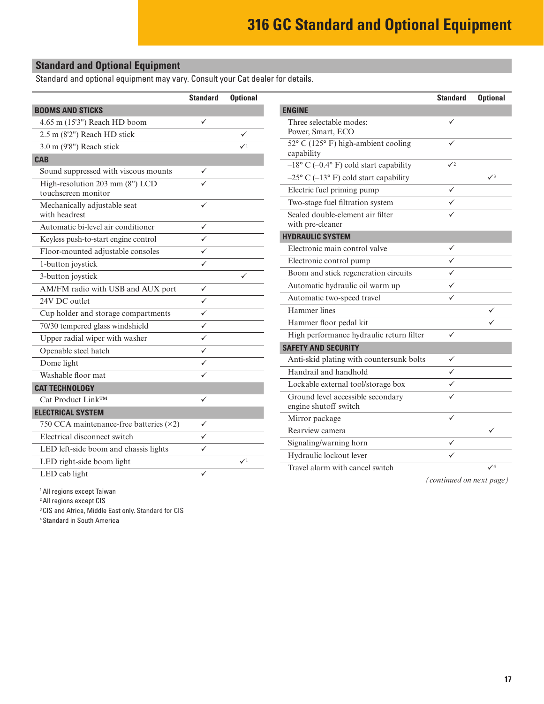# <span id="page-16-0"></span>**Standard and Optional Equipment**

Standard and optional equipment may vary. Consult your Cat dealer for details.

|                                           | <b>Standard</b>   | <b>Optional</b> |                                                                                        | <b>Standard</b> | <b>Optional</b> |
|-------------------------------------------|-------------------|-----------------|----------------------------------------------------------------------------------------|-----------------|-----------------|
| <b>BOOMS AND STICKS</b>                   |                   |                 | <b>ENGINE</b>                                                                          |                 |                 |
| 4.65 m (15'3") Reach HD boom              | ✓                 |                 | Three selectable modes:                                                                | ✓               |                 |
| 2.5 m (8'2") Reach HD stick               |                   | ✓               | Power, Smart, ECO                                                                      |                 |                 |
| 3.0 m (9'8") Reach stick                  |                   | $\checkmark$    | 52° C (125° F) high-ambient cooling                                                    | ✓               |                 |
| <b>CAB</b>                                |                   |                 | capability                                                                             | $\sqrt{2}$      |                 |
| Sound suppressed with viscous mounts      | $\checkmark$      |                 | $-18^{\circ}$ C (-0.4° F) cold start capability                                        |                 | $\sqrt{3}$      |
| High-resolution 203 mm (8") LCD           | ✓                 |                 | $-25^{\circ}$ C ( $-13^{\circ}$ F) cold start capability<br>Electric fuel priming pump | $\checkmark$    |                 |
| touchscreen monitor                       |                   |                 |                                                                                        | ✓               |                 |
| Mechanically adjustable seat              | $\checkmark$      |                 | Two-stage fuel filtration system                                                       |                 |                 |
| with headrest                             |                   |                 | Sealed double-element air filter<br>with pre-cleaner                                   | ✓               |                 |
| Automatic bi-level air conditioner        | $\checkmark$<br>✓ |                 | <b>HYDRAULIC SYSTEM</b>                                                                |                 |                 |
| Keyless push-to-start engine control      |                   |                 | Electronic main control valve                                                          | ✓               |                 |
| Floor-mounted adjustable consoles         | ✓                 |                 | Electronic control pump                                                                | ✓               |                 |
| 1-button joystick                         | ✓                 |                 | Boom and stick regeneration circuits                                                   | ✓               |                 |
| 3-button joystick                         |                   | ✓               | Automatic hydraulic oil warm up                                                        | ✓               |                 |
| AM/FM radio with USB and AUX port         | $\checkmark$      |                 | Automatic two-speed travel                                                             | ✓               |                 |
| 24V DC outlet                             | ✓                 |                 | Hammer lines                                                                           |                 | ✓               |
| Cup holder and storage compartments       | ✓                 |                 | Hammer floor pedal kit                                                                 |                 | ✓               |
| 70/30 tempered glass windshield           | ✓                 |                 |                                                                                        | $\checkmark$    |                 |
| Upper radial wiper with washer            | $\checkmark$      |                 | High performance hydraulic return filter                                               |                 |                 |
| Openable steel hatch                      | ✓                 |                 | <b>SAFETY AND SECURITY</b>                                                             |                 |                 |
| Dome light                                | ✓                 |                 | Anti-skid plating with countersunk bolts                                               | ✓               |                 |
| Washable floor mat                        | ✓                 |                 | Handrail and handhold                                                                  | ✓               |                 |
| <b>CAT TECHNOLOGY</b>                     |                   |                 | Lockable external tool/storage box                                                     | ✓               |                 |
| Cat Product Link™                         | ✓                 |                 | Ground level accessible secondary<br>engine shutoff switch                             | ✓               |                 |
| <b>ELECTRICAL SYSTEM</b>                  |                   |                 | Mirror package                                                                         | ✓               |                 |
| 750 CCA maintenance-free batteries $(x2)$ | ✓                 |                 | Rearview camera                                                                        |                 | ✓               |
| Electrical disconnect switch              | $\checkmark$      |                 | Signaling/warning horn                                                                 | ✓               |                 |
| LED left-side boom and chassis lights     | ✓                 |                 |                                                                                        |                 |                 |
| LED right-side boom light                 |                   | $\checkmark$    | Hydraulic lockout lever                                                                | ✓               | $\sqrt{4}$      |
| LED cab light                             | ✓                 |                 | Travel alarm with cancel switch                                                        |                 |                 |

1 All regions except Taiwan

2 All regions except CIS

3 CIS and Africa, Middle East only. Standard for CIS

4 Standard in South America

*(continued on next page)*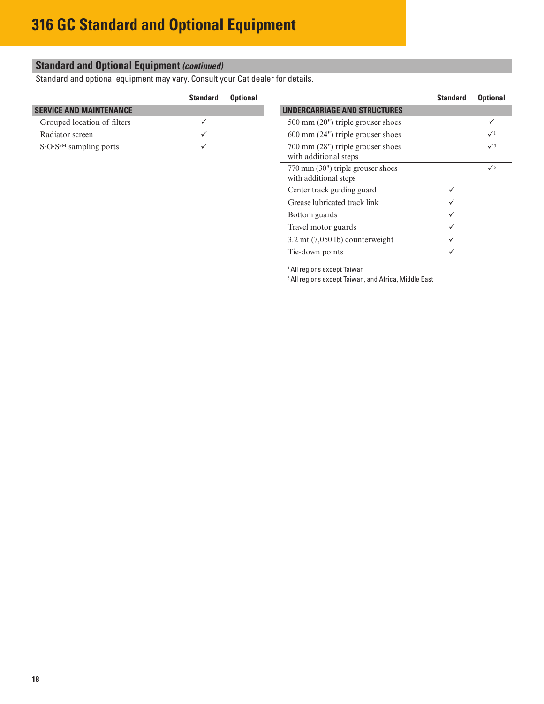### **Standard and Optional Equipment** *(continued)*

Standard and optional equipment may vary. Consult your Cat dealer for details.

|                                | <b>Standard</b> | <b>Optional</b> |                                                            | <b>Standard</b> | <b>Optional</b> |
|--------------------------------|-----------------|-----------------|------------------------------------------------------------|-----------------|-----------------|
| <b>SERVICE AND MAINTENANCE</b> |                 |                 | <b>UNDERCARRIAGE AND STRUCTURES</b>                        |                 |                 |
| Grouped location of filters    |                 |                 | $500 \text{ mm}$ (20") triple grouser shoes                |                 |                 |
| Radiator screen                |                 |                 | $600 \text{ mm}$ (24") triple grouser shoes                |                 | $\sqrt{1}$      |
| $S$ O $SSM$ sampling ports     |                 |                 | 700 mm (28") triple grouser shoes<br>with additional steps |                 | $\checkmark$    |
|                                |                 |                 | 770 mm (30") triple grouser shoes<br>with additional steps |                 | $\checkmark$    |
|                                |                 |                 | Center track guiding guard                                 |                 |                 |

3.2 mt (7,050 lb) counterweight  $\checkmark$ 

Tie-down points  $\checkmark$ 

1 All regions except Taiwan

5 All regions except Taiwan, and Africa, Middle East

Grease lubricated track link  $\checkmark$ Bottom guards  $\checkmark$ Travel motor guards  $\checkmark$